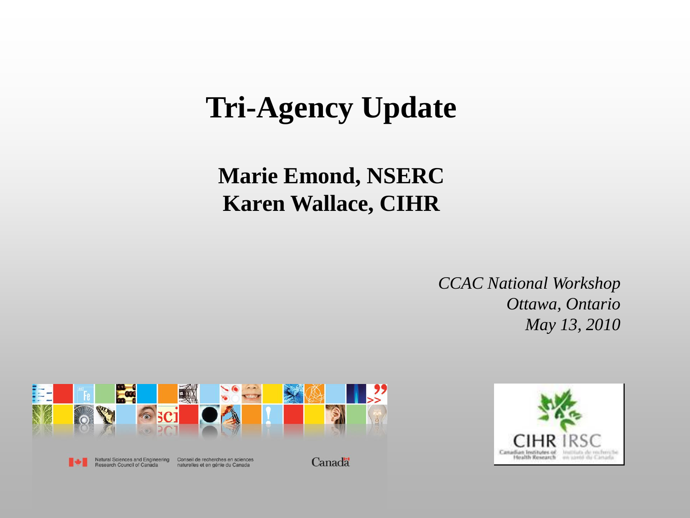## **Tri-Agency Update**

#### **Marie Emond, NSERC Karen Wallace, CIHR**

*CCAC National Workshop Ottawa, Ontario May 13, 2010*



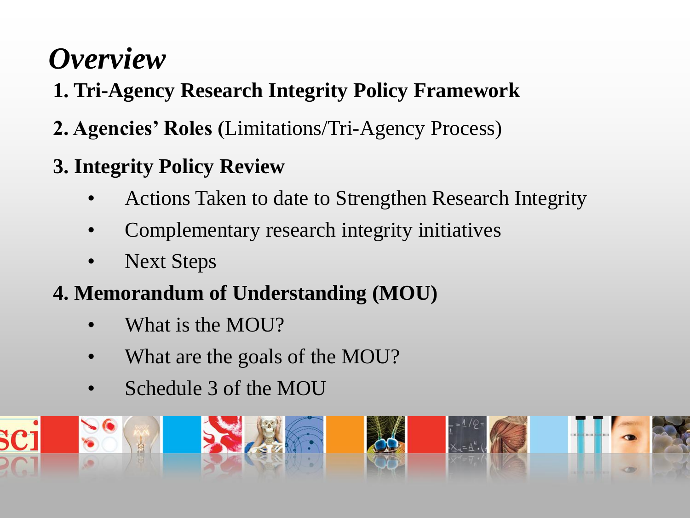# *Overview*

- **1. Tri-Agency Research Integrity Policy Framework**
- **2. Agencies' Roles (**Limitations/Tri-Agency Process)
- **3. Integrity Policy Review**
	- Actions Taken to date to Strengthen Research Integrity
	- Complementary research integrity initiatives
	- **Next Steps**
- **4. Memorandum of Understanding (MOU)**
	- What is the MOU?
	- What are the goals of the MOU?
	- Schedule 3 of the MOU

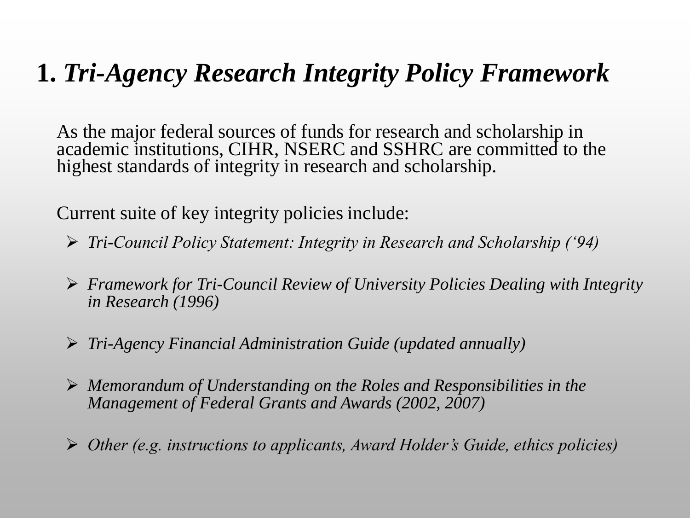#### **1.** *Tri-Agency Research Integrity Policy Framework*

As the major federal sources of funds for research and scholarship in academic institutions, CIHR, NSERC and SSHRC are committed to the highest standards of integrity in research and scholarship.

Current suite of key integrity policies include:

- *Tri-Council Policy Statement: Integrity in Research and Scholarship ('94)*
- *Framework for Tri-Council Review of University Policies Dealing with Integrity in Research (1996)*
- *Tri-Agency Financial Administration Guide (updated annually)*
- *Memorandum of Understanding on the Roles and Responsibilities in the Management of Federal Grants and Awards (2002, 2007)*
- *Other (e.g. instructions to applicants, Award Holder's Guide, ethics policies)*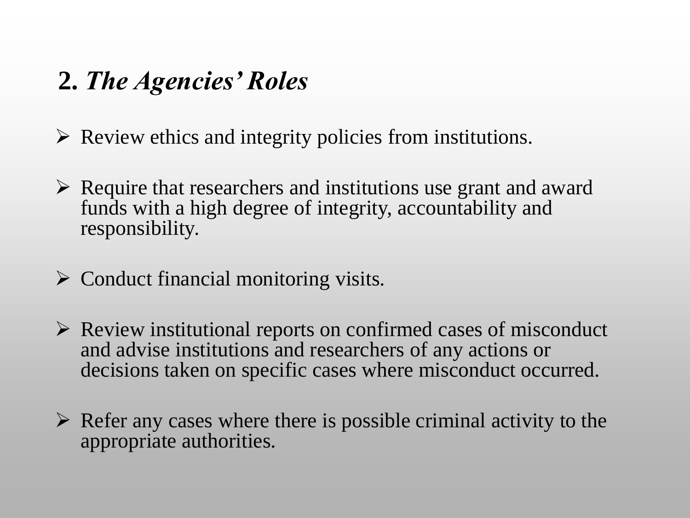#### **2.** *The Agencies' Roles*

 $\triangleright$  Review ethics and integrity policies from institutions.

- $\triangleright$  Require that researchers and institutions use grant and award funds with a high degree of integrity, accountability and responsibility.
- $\triangleright$  Conduct financial monitoring visits.
- $\triangleright$  Review institutional reports on confirmed cases of misconduct and advise institutions and researchers of any actions or decisions taken on specific cases where misconduct occurred.
- $\triangleright$  Refer any cases where there is possible criminal activity to the appropriate authorities.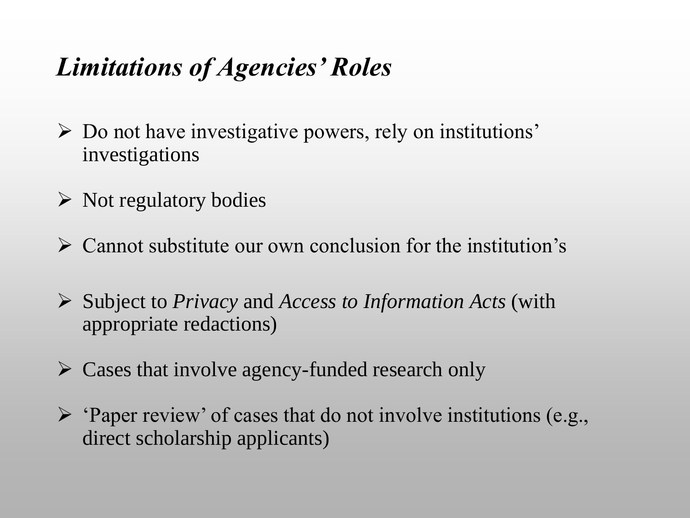### *Limitations of Agencies' Roles*

- $\triangleright$  Do not have investigative powers, rely on institutions' investigations
- $\triangleright$  Not regulatory bodies
- $\triangleright$  Cannot substitute our own conclusion for the institution's
- Subject to *Privacy* and *Access to Information Acts* (with appropriate redactions)
- $\triangleright$  Cases that involve agency-funded research only
- $\triangleright$  'Paper review' of cases that do not involve institutions (e.g., direct scholarship applicants)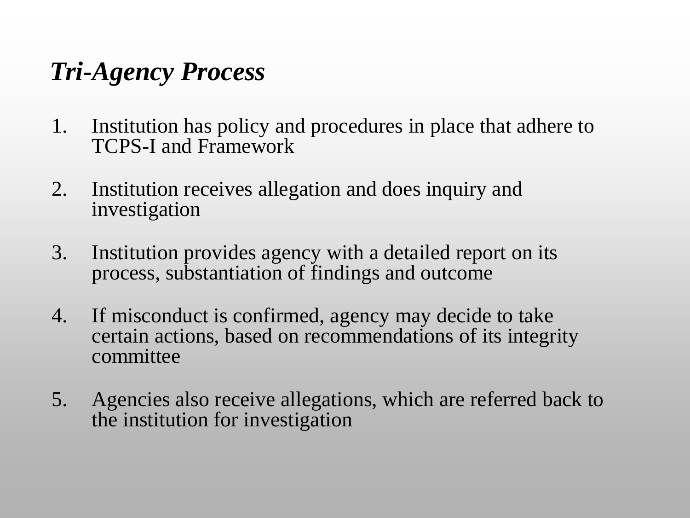### *Tri-Agency Process*

- 1. Institution has policy and procedures in place that adhere to TCPS-I and Framework
- 2. Institution receives allegation and does inquiry and investigation
- 3. Institution provides agency with a detailed report on its process, substantiation of findings and outcome
- 4. If misconduct is confirmed, agency may decide to take certain actions, based on recommendations of its integrity committee
- 5. Agencies also receive allegations, which are referred back to the institution for investigation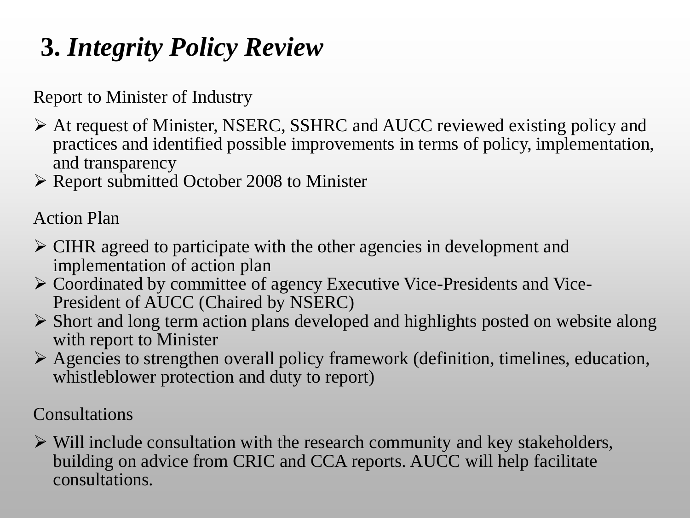### **3.** *Integrity Policy Review*

Report to Minister of Industry

- At request of Minister, NSERC, SSHRC and AUCC reviewed existing policy and practices and identified possible improvements in terms of policy, implementation, and transparency
- Report submitted October 2008 to Minister

Action Plan

- CIHR agreed to participate with the other agencies in development and implementation of action plan
- Coordinated by committee of agency Executive Vice-Presidents and Vice-President of AUCC (Chaired by NSERC)
- $\triangleright$  Short and long term action plans developed and highlights posted on website along with report to Minister
- Agencies to strengthen overall policy framework (definition, timelines, education, whistleblower protection and duty to report)

Consultations

 $\triangleright$  Will include consultation with the research community and key stakeholders, building on advice from CRIC and CCA reports. AUCC will help facilitate consultations.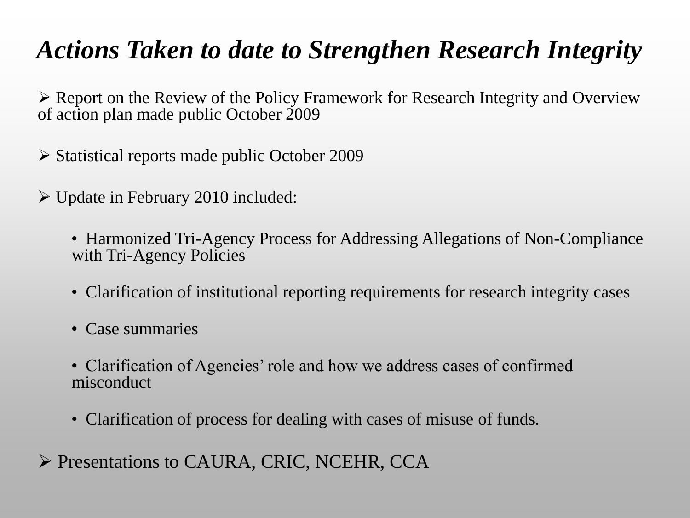### *Actions Taken to date to Strengthen Research Integrity*

 Report on the Review of the Policy Framework for Research Integrity and Overview of action plan made public October 2009

Statistical reports made public October 2009

 $\triangleright$  Update in February 2010 included:

• Harmonized Tri-Agency Process for Addressing Allegations of Non-Compliance with Tri-Agency Policies

- Clarification of institutional reporting requirements for research integrity cases
- Case summaries
- Clarification of Agencies' role and how we address cases of confirmed misconduct
- Clarification of process for dealing with cases of misuse of funds.
- Presentations to CAURA, CRIC, NCEHR, CCA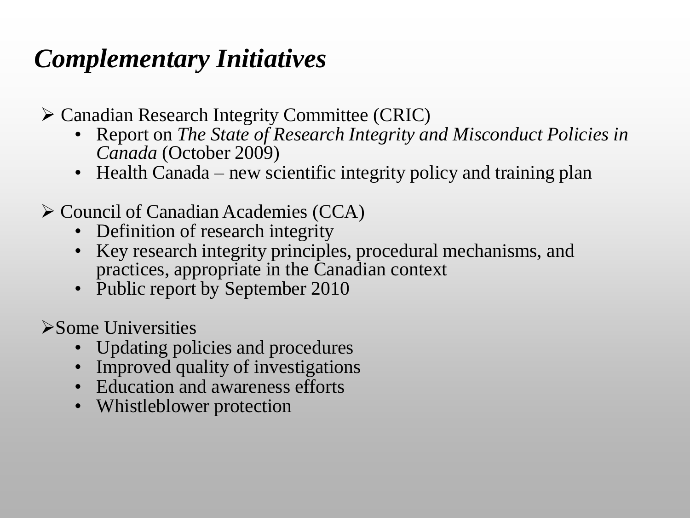### *Complementary Initiatives*

Canadian Research Integrity Committee (CRIC)

- Report on *The State of Research Integrity and Misconduct Policies in Canada* (October 2009)
- Health Canada new scientific integrity policy and training plan
- Council of Canadian Academies (CCA)
	- Definition of research integrity
	- Key research integrity principles, procedural mechanisms, and practices, appropriate in the Canadian context
	- Public report by September 2010

Some Universities

- Updating policies and procedures
- Improved quality of investigations
- Education and awareness efforts
- Whistleblower protection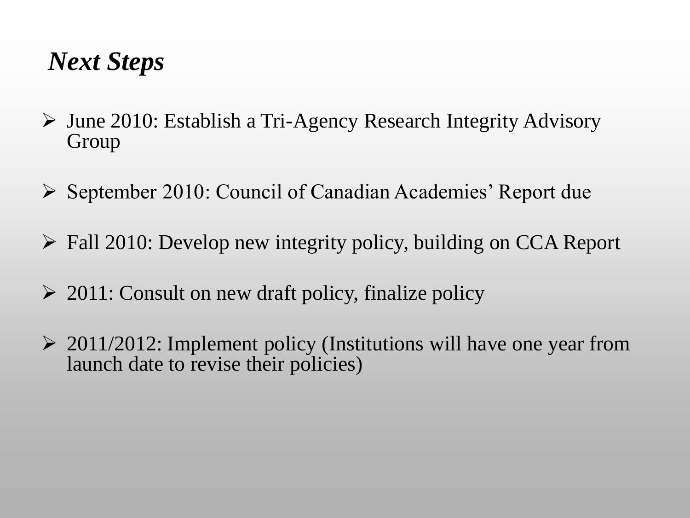#### *Next Steps*

- June 2010: Establish a Tri-Agency Research Integrity Advisory Group
- $\triangleright$  September 2010: Council of Canadian Academies' Report due
- Fall 2010: Develop new integrity policy, building on CCA Report
- $\geq 2011$ : Consult on new draft policy, finalize policy
- $\geq 2011/2012$ : Implement policy (Institutions will have one year from launch date to revise their policies)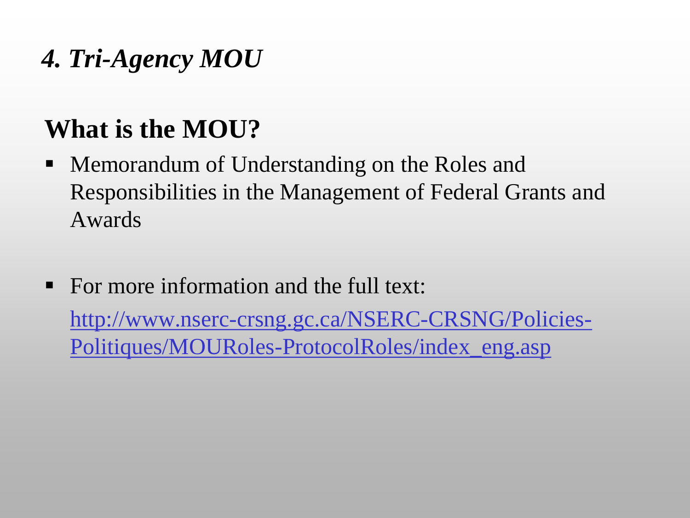### *4. Tri-Agency MOU*

# **What is the MOU?**

- **Memorandum of Understanding on the Roles and** Responsibilities in the Management of Federal Grants and Awards
- For more information and the full text:

http://www.nserc-crsng.gc.ca/NSERC-CRSNG/Policies-Politiques/MOURoles-ProtocolRoles/index\_eng.asp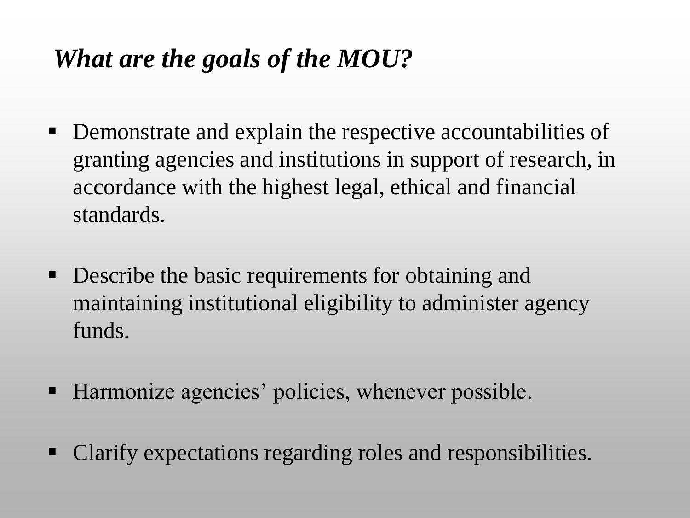### *What are the goals of the MOU?*

- **Demonstrate and explain the respective accountabilities of** granting agencies and institutions in support of research, in accordance with the highest legal, ethical and financial standards.
- **Describe the basic requirements for obtaining and** maintaining institutional eligibility to administer agency funds.
- Harmonize agencies' policies, whenever possible.
- Clarify expectations regarding roles and responsibilities.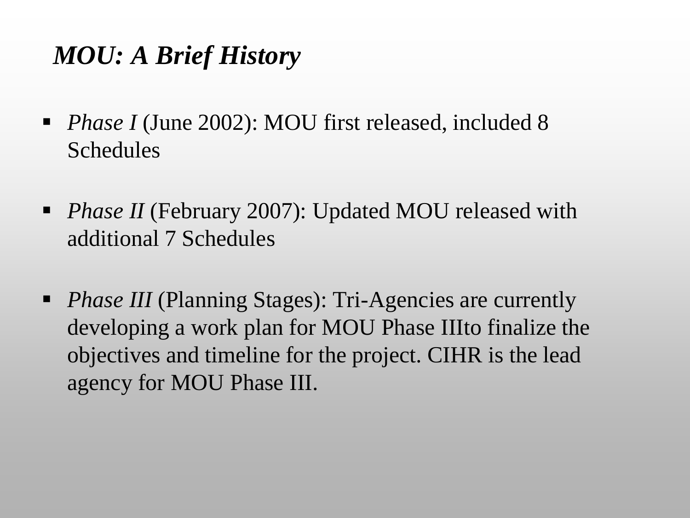### *MOU: A Brief History*

- *Phase I* (June 2002): MOU first released, included 8 Schedules
- *Phase II* (February 2007): Updated MOU released with additional 7 Schedules
- **Phase III** (Planning Stages): Tri-Agencies are currently developing a work plan for MOU Phase IIIto finalize the objectives and timeline for the project. CIHR is the lead agency for MOU Phase III.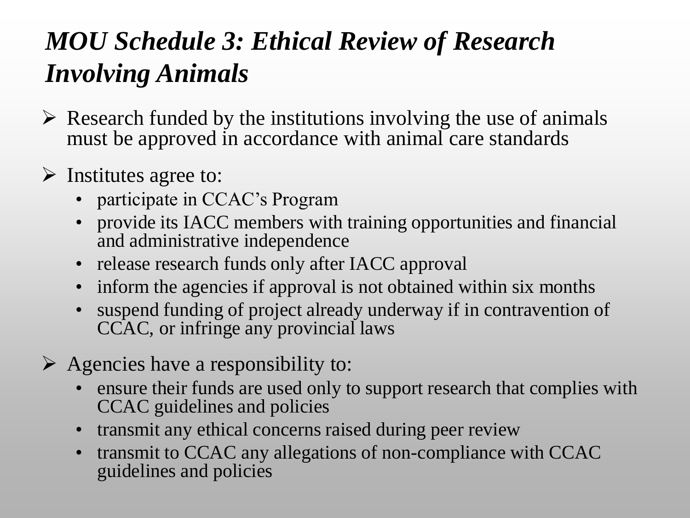## *MOU Schedule 3: Ethical Review of Research Involving Animals*

- $\triangleright$  Research funded by the institutions involving the use of animals must be approved in accordance with animal care standards
- $\triangleright$  Institutes agree to:
	- participate in CCAC's Program
	- provide its IACC members with training opportunities and financial and administrative independence
	- release research funds only after IACC approval
	- inform the agencies if approval is not obtained within six months
	- suspend funding of project already underway if in contravention of CCAC, or infringe any provincial laws
- $\triangleright$  Agencies have a responsibility to:
	- ensure their funds are used only to support research that complies with CCAC guidelines and policies
	- transmit any ethical concerns raised during peer review
	- transmit to CCAC any allegations of non-compliance with CCAC guidelines and policies